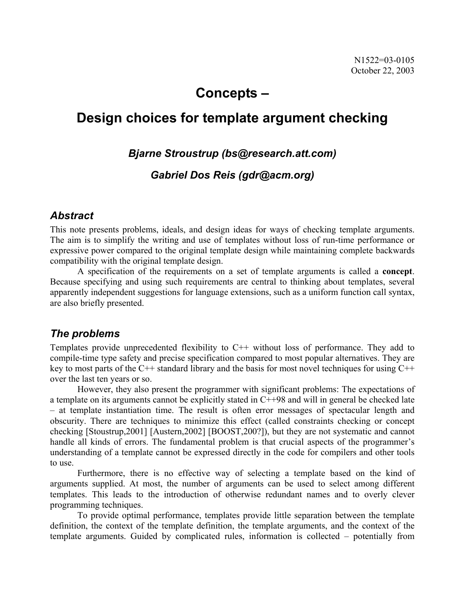# **Concepts –**

# **Design choices for template argument checking**

### *Bjarne Stroustrup (bs@research.att.com)*

### *Gabriel Dos Reis (gdr@acm.org)*

#### *Abstract*

This note presents problems, ideals, and design ideas for ways of checking template arguments. The aim is to simplify the writing and use of templates without loss of run-time performance or expressive power compared to the original template design while maintaining complete backwards compatibility with the original template design.

 A specification of the requirements on a set of template arguments is called a **concept**. Because specifying and using such requirements are central to thinking about templates, several apparently independent suggestions for language extensions, such as a uniform function call syntax, are also briefly presented.

## *The problems*

Templates provide unprecedented flexibility to C++ without loss of performance. They add to compile-time type safety and precise specification compared to most popular alternatives. They are key to most parts of the C++ standard library and the basis for most novel techniques for using  $C++$ over the last ten years or so.

 However, they also present the programmer with significant problems: The expectations of a template on its arguments cannot be explicitly stated in C++98 and will in general be checked late – at template instantiation time. The result is often error messages of spectacular length and obscurity. There are techniques to minimize this effect (called constraints checking or concept checking [Stoustrup,2001] [Austern,2002] [BOOST,200?]), but they are not systematic and cannot handle all kinds of errors. The fundamental problem is that crucial aspects of the programmer's understanding of a template cannot be expressed directly in the code for compilers and other tools to use.

 Furthermore, there is no effective way of selecting a template based on the kind of arguments supplied. At most, the number of arguments can be used to select among different templates. This leads to the introduction of otherwise redundant names and to overly clever programming techniques.

 To provide optimal performance, templates provide little separation between the template definition, the context of the template definition, the template arguments, and the context of the template arguments. Guided by complicated rules, information is collected – potentially from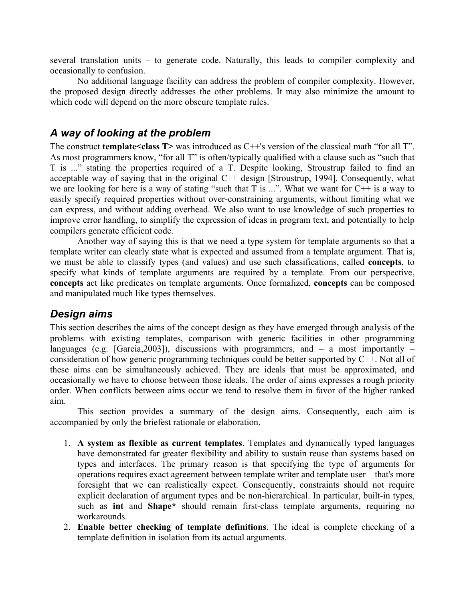several translation units – to generate code. Naturally, this leads to compiler complexity and occasionally to confusion.

 No additional language facility can address the problem of compiler complexity. However, the proposed design directly addresses the other problems. It may also minimize the amount to which code will depend on the more obscure template rules.

#### *A way of looking at the problem*

The construct **template<class T>** was introduced as C++'s version of the classical math "for all T". As most programmers know, "for all T" is often/typically qualified with a clause such as "such that T is ..." stating the properties required of a T. Despite looking, Stroustrup failed to find an acceptable way of saying that in the original C++ design [Stroustrup, 1994]. Consequently, what we are looking for here is a way of stating "such that T is ...". What we want for C++ is a way to easily specify required properties without over-constraining arguments, without limiting what we can express, and without adding overhead. We also want to use knowledge of such properties to improve error handling, to simplify the expression of ideas in program text, and potentially to help compilers generate efficient code.

 Another way of saying this is that we need a type system for template arguments so that a template writer can clearly state what is expected and assumed from a template argument. That is, we must be able to classify types (and values) and use such classifications, called **concepts**, to specify what kinds of template arguments are required by a template. From our perspective, **concepts** act like predicates on template arguments. Once formalized, **concepts** can be composed and manipulated much like types themselves.

#### *Design aims*

This section describes the aims of the concept design as they have emerged through analysis of the problems with existing templates, comparison with generic facilities in other programming languages (e.g. [Garcia, 2003]), discussions with programmers, and  $-$  a most importantly  $$ consideration of how generic programming techniques could be better supported by C++. Not all of these aims can be simultaneously achieved. They are ideals that must be approximated, and occasionally we have to choose between those ideals. The order of aims expresses a rough priority order. When conflicts between aims occur we tend to resolve them in favor of the higher ranked aim.

 This section provides a summary of the design aims. Consequently, each aim is accompanied by only the briefest rationale or elaboration.

- 1. **A system as flexible as current templates**. Templates and dynamically typed languages have demonstrated far greater flexibility and ability to sustain reuse than systems based on types and interfaces. The primary reason is that specifying the type of arguments for operations requires exact agreement between template writer and template user – that's more foresight that we can realistically expect. Consequently, constraints should not require explicit declaration of argument types and be non-hierarchical. In particular, built-in types, such as **int** and **Shape\*** should remain first-class template arguments, requiring no workarounds.
- 2. **Enable better checking of template definitions**. The ideal is complete checking of a template definition in isolation from its actual arguments.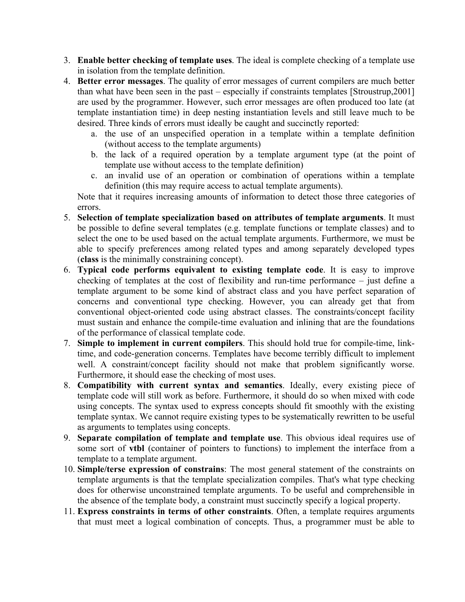- 3. **Enable better checking of template uses**. The ideal is complete checking of a template use in isolation from the template definition.
- 4. **Better error messages**. The quality of error messages of current compilers are much better than what have been seen in the past – especially if constraints templates [Stroustrup,2001] are used by the programmer. However, such error messages are often produced too late (at template instantiation time) in deep nesting instantiation levels and still leave much to be desired. Three kinds of errors must ideally be caught and succinctly reported:
	- a. the use of an unspecified operation in a template within a template definition (without access to the template arguments)
	- b. the lack of a required operation by a template argument type (at the point of template use without access to the template definition)
	- c. an invalid use of an operation or combination of operations within a template definition (this may require access to actual template arguments).

Note that it requires increasing amounts of information to detect those three categories of errors.

- 5. **Selection of template specialization based on attributes of template arguments**. It must be possible to define several templates (e.g. template functions or template classes) and to select the one to be used based on the actual template arguments. Furthermore, we must be able to specify preferences among related types and among separately developed types (**class** is the minimally constraining concept).
- 6. **Typical code performs equivalent to existing template code**. It is easy to improve checking of templates at the cost of flexibility and run-time performance – just define a template argument to be some kind of abstract class and you have perfect separation of concerns and conventional type checking. However, you can already get that from conventional object-oriented code using abstract classes. The constraints/concept facility must sustain and enhance the compile-time evaluation and inlining that are the foundations of the performance of classical template code.
- 7. **Simple to implement in current compilers**. This should hold true for compile-time, linktime, and code-generation concerns. Templates have become terribly difficult to implement well. A constraint/concept facility should not make that problem significantly worse. Furthermore, it should ease the checking of most uses.
- 8. **Compatibility with current syntax and semantics**. Ideally, every existing piece of template code will still work as before. Furthermore, it should do so when mixed with code using concepts. The syntax used to express concepts should fit smoothly with the existing template syntax. We cannot require existing types to be systematically rewritten to be useful as arguments to templates using concepts.
- 9. **Separate compilation of template and template use**. This obvious ideal requires use of some sort of **vtbl** (container of pointers to functions) to implement the interface from a template to a template argument.
- 10. **Simple/terse expression of constrains**: The most general statement of the constraints on template arguments is that the template specialization compiles. That's what type checking does for otherwise unconstrained template arguments. To be useful and comprehensible in the absence of the template body, a constraint must succinctly specify a logical property.
- 11. **Express constraints in terms of other constraints**. Often, a template requires arguments that must meet a logical combination of concepts. Thus, a programmer must be able to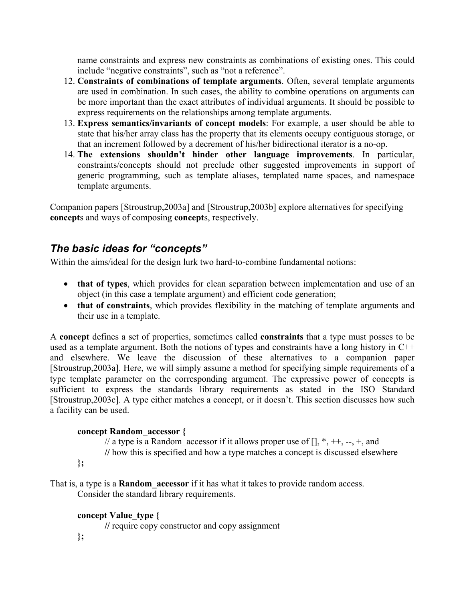name constraints and express new constraints as combinations of existing ones. This could include "negative constraints", such as "not a reference".

- 12. **Constraints of combinations of template arguments**. Often, several template arguments are used in combination. In such cases, the ability to combine operations on arguments can be more important than the exact attributes of individual arguments. It should be possible to express requirements on the relationships among template arguments.
- 13. **Express semantics/invariants of concept models**: For example, a user should be able to state that his/her array class has the property that its elements occupy contiguous storage, or that an increment followed by a decrement of his/her bidirectional iterator is a no-op.
- 14. **The extensions shouldn't hinder other language improvements**. In particular, constraints/concepts should not preclude other suggested improvements in support of generic programming, such as template aliases, templated name spaces, and namespace template arguments.

Companion papers [Stroustrup,2003a] and [Stroustrup,2003b] explore alternatives for specifying **concept**s and ways of composing **concept**s, respectively.

# *The basic ideas for "concepts"*

Within the aims/ideal for the design lurk two hard-to-combine fundamental notions:

- **that of types**, which provides for clean separation between implementation and use of an object (in this case a template argument) and efficient code generation;
- **that of constraints**, which provides flexibility in the matching of template arguments and their use in a template.

A **concept** defines a set of properties, sometimes called **constraints** that a type must posses to be used as a template argument. Both the notions of types and constraints have a long history in C++ and elsewhere. We leave the discussion of these alternatives to a companion paper [Stroustrup,2003a]. Here, we will simply assume a method for specifying simple requirements of a type template parameter on the corresponding argument. The expressive power of concepts is sufficient to express the standards library requirements as stated in the ISO Standard [Stroustrup,2003c]. A type either matches a concept, or it doesn't. This section discusses how such a facility can be used.

#### **concept Random\_accessor {**

// a type is a Random\_accessor if it allows proper use of [], \*, ++, --, +, and – **//** how this is specified and how a type matches a concept is discussed elsewhere

 **};** 

That is, a type is a **Random\_accessor** if it has what it takes to provide random access. Consider the standard library requirements.

#### **concept Value\_type {**

 **//** require copy constructor and copy assignment

 **};**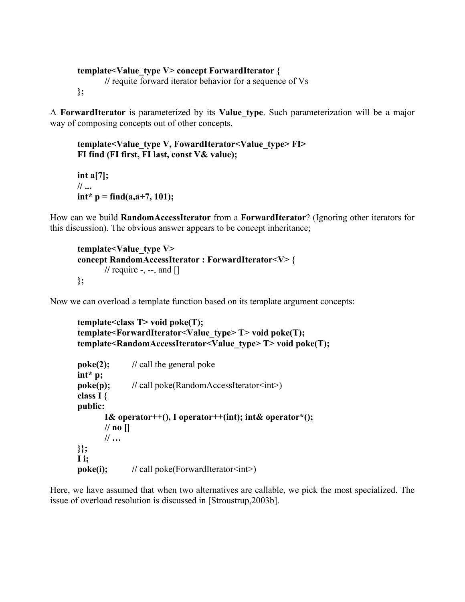```
 template<Value_type V> concept ForwardIterator {
```
 **//** requite forward iterator behavior for a sequence of Vs

```
 };
```
A **ForwardIterator** is parameterized by its **Value\_type**. Such parameterization will be a major way of composing concepts out of other concepts.

```
 template<Value_type V, FowardIterator<Value_type> FI> 
 FI find (FI first, FI last, const V& value);
```
 **int a[7]; // ...**   $int^* p = find(a,a+7,101);$ 

How can we build **RandomAccessIterator** from a **ForwardIterator**? (Ignoring other iterators for this discussion). The obvious answer appears to be concept inheritance;

```
 template<Value_type V> 
 concept RandomAccessIterator : ForwardIterator<V> { 
        // require -, --, and []
 };
```
Now we can overload a template function based on its template argument concepts:

```
 template<class T> void poke(T); 
 template<ForwardIterator<Value_type> T> void poke(T); 
 template<RandomAccessIterator<Value_type> T> void poke(T); 
poke(2); // call the general poke
 int* p; 
poke(p); // call poke(RandomAccessIterator<int>)
 class I { 
 public: 
        I& operator++(), I operator++(int); int& operator*(); 
        // no [] 
        // … 
 }}; 
 I i; 
poke(i); // call poke(ForwardIterator<int>)
```
Here, we have assumed that when two alternatives are callable, we pick the most specialized. The issue of overload resolution is discussed in [Stroustrup,2003b].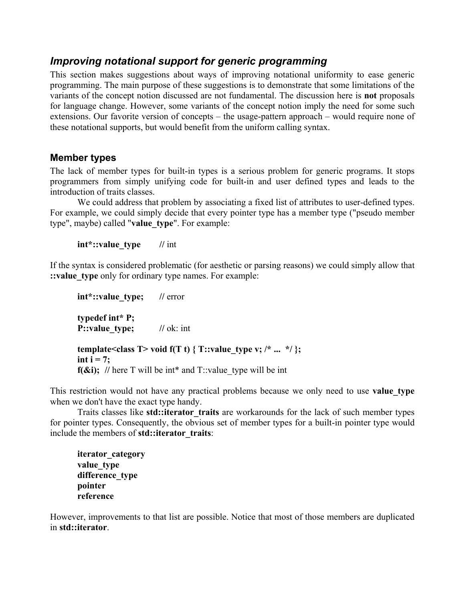## *Improving notational support for generic programming*

This section makes suggestions about ways of improving notational uniformity to ease generic programming. The main purpose of these suggestions is to demonstrate that some limitations of the variants of the concept notion discussed are not fundamental. The discussion here is **not** proposals for language change. However, some variants of the concept notion imply the need for some such extensions. Our favorite version of concepts – the usage-pattern approach – would require none of these notational supports, but would benefit from the uniform calling syntax.

#### **Member types**

The lack of member types for built-in types is a serious problem for generic programs. It stops programmers from simply unifying code for built-in and user defined types and leads to the introduction of traits classes.

 We could address that problem by associating a fixed list of attributes to user-defined types. For example, we could simply decide that every pointer type has a member type ("pseudo member type", maybe) called "**value\_type**". For example:

**int\*::value** type // int

If the syntax is considered problematic (for aesthetic or parsing reasons) we could simply allow that :**value** type only for ordinary type names. For example:

**int\*::value type;** // error  **typedef int\* P; P::value type;** // ok: int **template<class T> void f(T t) { T::value type v; /\* ... \*/ };**  $int i = 7$ ;  $f(\&i)$ ; // here T will be int\* and T::value type will be int

This restriction would not have any practical problems because we only need to use **value type** when we don't have the exact type handy.

 Traits classes like **std::iterator\_traits** are workarounds for the lack of such member types for pointer types. Consequently, the obvious set of member types for a built-in pointer type would include the members of **std::iterator\_traits**:

```
iterator_category 
 value_type 
 difference_type 
 pointer 
 reference
```
However, improvements to that list are possible. Notice that most of those members are duplicated in **std::iterator**.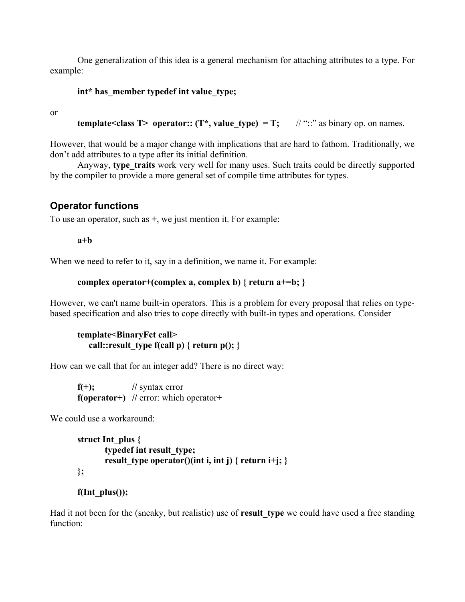One generalization of this idea is a general mechanism for attaching attributes to a type. For example:

#### **int\* has\_member typedef int value\_type;**

or

```
template<class T> operator:: (T*, value type) = T; \frac{1}{2} // "::" as binary op. on names.
```
However, that would be a major change with implications that are hard to fathom. Traditionally, we don't add attributes to a type after its initial definition.

Anyway, type traits work very well for many uses. Such traits could be directly supported by the compiler to provide a more general set of compile time attributes for types.

### **Operator functions**

To use an operator, such as **+**, we just mention it. For example:

**a+b** 

When we need to refer to it, say in a definition, we name it. For example:

```
complex operator+(complex a, complex b) { return a+=b; }
```
However, we can't name built-in operators. This is a problem for every proposal that relies on typebased specification and also tries to cope directly with built-in types and operations. Consider

#### **template<BinaryFct call>**  call::result type  $f(\text{call } p)$  { return  $p()$ ; }

How can we call that for an integer add? There is no direct way:

 $f(+);$  // syntax error **f(operator+)** // error: which operator+

We could use a workaround:

```
 struct Int_plus { 
         typedef int result_type; 
         result type operator()(int i, int j) { return i+j; }
 };
```

```
 f(Int_plus());
```
Had it not been for the (sneaky, but realistic) use of **result\_type** we could have used a free standing function: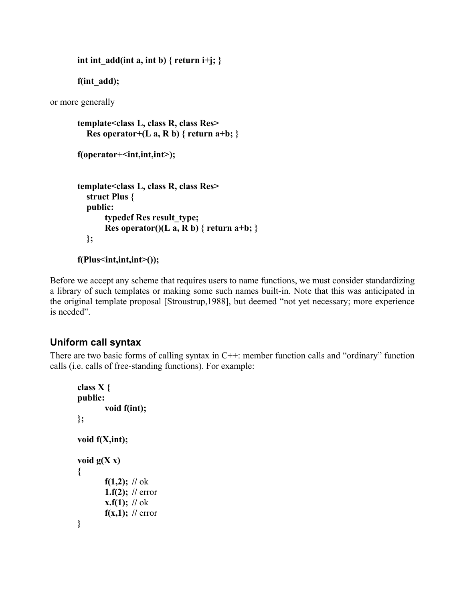```
int int add(int a, int b) { return i+j; }
```
 **f(int\_add);** 

or more generally

```
template<class L, class R, class Res> 
  Res operator+(L \t a, R \t b) \{ return a+b; \} f(operator+<int,int,int>); 
 template<class L, class R, class Res> 
   struct Plus { 
   public: 
        typedef Res result_type; 
       Res operator()(L a, R b) { return a+b; }
   };
```

```
 f(Plus<int,int,int>());
```
Before we accept any scheme that requires users to name functions, we must consider standardizing a library of such templates or making some such names built-in. Note that this was anticipated in the original template proposal [Stroustrup,1988], but deemed "not yet necessary; more experience is needed".

## **Uniform call syntax**

There are two basic forms of calling syntax in C++: member function calls and "ordinary" function calls (i.e. calls of free-standing functions). For example:

```
class X { 
 public: 
         void f(int); 
 }; 
 void f(X,int); 
void g(X x) { 
        f(1,2); // \alphak
         1.f(2); // error 

        f(x,1); // error
 }
```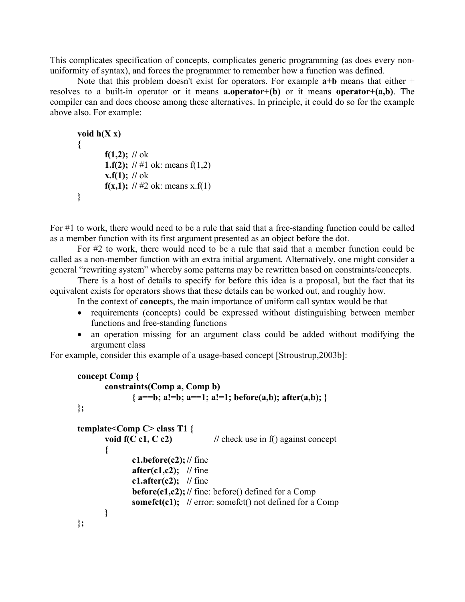This complicates specification of concepts, complicates generic programming (as does every nonuniformity of syntax), and forces the programmer to remember how a function was defined.

 Note that this problem doesn't exist for operators. For example **a+b** means that either + resolves to a built-in operator or it means **a.operator+(b)** or it means **operator+(a,b)**. The compiler can and does choose among these alternatives. In principle, it could do so for the example above also. For example:

```
void h(X x) { 
        f(1,2); // \alphak
        1.f(2); // \#1 ok: means f(1,2)
        x.f(1); // ok
        f(x,1); // \#2 ok: means x.f(1)
 }
```
For #1 to work, there would need to be a rule that said that a free-standing function could be called as a member function with its first argument presented as an object before the dot.

 For #2 to work, there would need to be a rule that said that a member function could be called as a non-member function with an extra initial argument. Alternatively, one might consider a general "rewriting system" whereby some patterns may be rewritten based on constraints/concepts.

 There is a host of details to specify for before this idea is a proposal, but the fact that its equivalent exists for operators shows that these details can be worked out, and roughly how.

In the context of **concept**s, the main importance of uniform call syntax would be that

- requirements (concepts) could be expressed without distinguishing between member functions and free-standing functions
- an operation missing for an argument class could be added without modifying the argument class

For example, consider this example of a usage-based concept [Stroustrup,2003b]:

```
concept Comp { 
              constraints(Comp a, Comp b) 
                     { a==b; a!=b; a==1; a!=1; before(a,b); after(a,b); } 
       }; 
       template<Comp C> class T1 { 
             void f(C c1, C c2) // check use in f() against concept
 { 
                     c1.before(c2); // fine
                     after(c1,c2); // fine 
                    c1.after(c2); \frac{1}{2} fine
                     before(c1,c2); // fine: before() defined for a Comp 
                    somefct(c1); // error: somefct() not defined for a Comp
 } 
       };
```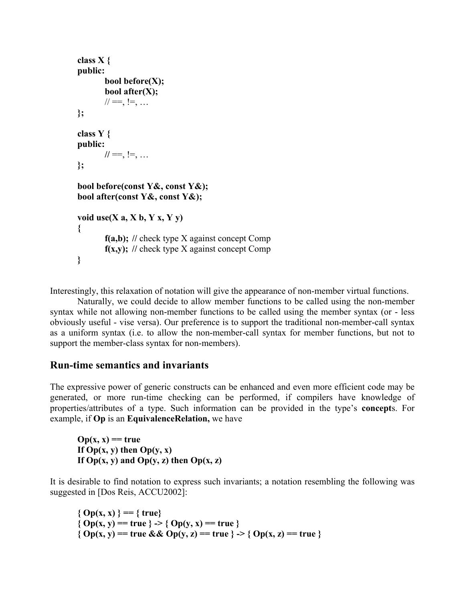```
 class X { 
 public: 
         bool before(X); 
         bool after(X); 
        1/1 = 1, 1 = 1, ... }; 
 class Y { 
 public: 
       / \prime = 1 = 1 }; 
bool before(const Y&, const Y&); 
 bool after(const Y&, const Y&); 
void use(X a, X b, Y x, Y y)
 { 
         f(a,b); // check type X against concept Comp 
         f(x,y); // check type X against concept Comp
 }
```
Interestingly, this relaxation of notation will give the appearance of non-member virtual functions.

 Naturally, we could decide to allow member functions to be called using the non-member syntax while not allowing non-member functions to be called using the member syntax (or - less obviously useful - vise versa). Our preference is to support the traditional non-member-call syntax as a uniform syntax (i.e. to allow the non-member-call syntax for member functions, but not to support the member-class syntax for non-members).

#### **Run-time semantics and invariants**

The expressive power of generic constructs can be enhanced and even more efficient code may be generated, or more run-time checking can be performed, if compilers have knowledge of properties/attributes of a type. Such information can be provided in the type's **concept**s. For example, if **Op** is an **EquivalenceRelation,** we have

 $Op(x, x) == true$ **If Op(x, y) then Op(y, x) If Op(x, y) and Op(y, z) then Op(x, z)** 

It is desirable to find notation to express such invariants; a notation resembling the following was suggested in [Dos Reis, ACCU2002]:

**{ Op(x, x) } == { true}**   ${Op(x, y) = true} > Op(y, x) = true}$ { $Op(x, y) = true \& QD(y, z) = true \& PQD(x, z) = true \& PQD(x, z) = true \& QD(x, z) = true \& QD(x, z) = true \& QD(x, z) = true \& QD(x, z) = true \& QD(x, z) = true \& QD(x, z) = true \& QD(x, z) = true \& QD(x, z) = true \& QD(x, z) = true \& QD(x, z) = true \& QD(x, z) = true \& QD(x, z) = true \& QD(x, z) = true \& QD(x, z) = true \& QD$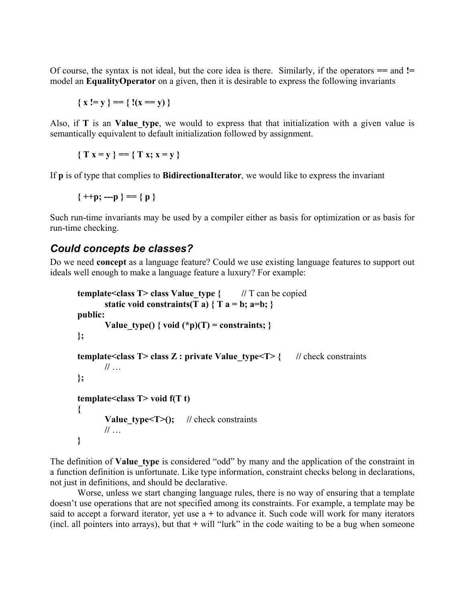Of course, the syntax is not ideal, but the core idea is there. Similarly, if the operators **==** and **!=**  model an **EqualityOperator** on a given, then it is desirable to express the following invariants

$$
\{x != y\} == \{!(x == y)\}\
$$

Also, if **T** is an **Value type**, we would to express that that initialization with a given value is semantically equivalent to default initialization followed by assignment.

 ${\{T x = y\} = {\{T x; x = y\}}$ 

If **p** is of type that complies to **BidirectionaIterator**, we would like to express the invariant

 $\{ ++p; ---p \} == \{ p \}$ 

Such run-time invariants may be used by a compiler either as basis for optimization or as basis for run-time checking.

## *Could concepts be classes?*

Do we need **concept** as a language feature? Could we use existing language features to support out ideals well enough to make a language feature a luxury? For example:

```
template<class T> class Value type \{ // \top can be copied
       static void constraints(T a) \{T a = b; a=b; \} public: 
       Value type() { void (*p)(T) = constraints; }
 }; 
 template<class T> class Z : private Value type<T> { // check constraints
        // … 
 }; 
 template<class T> void f(T t) 
 { 
       Value type \leqT\geq(); // check constraints
        // …
 }
```
The definition of **Value** type is considered "odd" by many and the application of the constraint in a function definition is unfortunate. Like type information, constraint checks belong in declarations, not just in definitions, and should be declarative.

 Worse, unless we start changing language rules, there is no way of ensuring that a template doesn't use operations that are not specified among its constraints. For example, a template may be said to accept a forward iterator, yet use a **+** to advance it. Such code will work for many iterators (incl. all pointers into arrays), but that **+** will "lurk" in the code waiting to be a bug when someone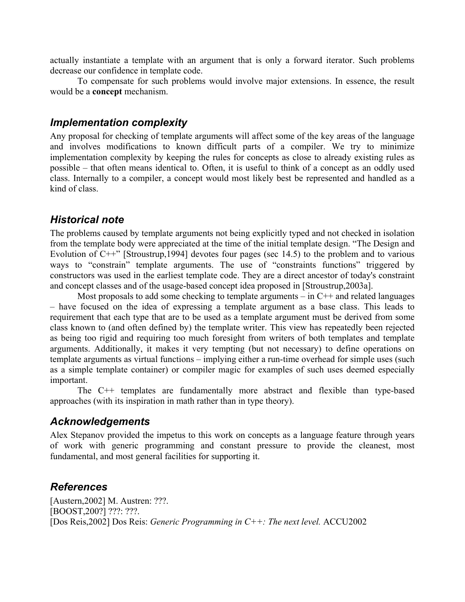actually instantiate a template with an argument that is only a forward iterator. Such problems decrease our confidence in template code.

 To compensate for such problems would involve major extensions. In essence, the result would be a **concept** mechanism.

## *Implementation complexity*

Any proposal for checking of template arguments will affect some of the key areas of the language and involves modifications to known difficult parts of a compiler. We try to minimize implementation complexity by keeping the rules for concepts as close to already existing rules as possible – that often means identical to. Often, it is useful to think of a concept as an oddly used class. Internally to a compiler, a concept would most likely best be represented and handled as a kind of class.

# *Historical note*

The problems caused by template arguments not being explicitly typed and not checked in isolation from the template body were appreciated at the time of the initial template design. "The Design and Evolution of C++" [Stroustrup,1994] devotes four pages (sec 14.5) to the problem and to various ways to "constrain" template arguments. The use of "constraints functions" triggered by constructors was used in the earliest template code. They are a direct ancestor of today's constraint and concept classes and of the usage-based concept idea proposed in [Stroustrup,2003a].

Most proposals to add some checking to template arguments  $-$  in  $C++$  and related languages – have focused on the idea of expressing a template argument as a base class. This leads to requirement that each type that are to be used as a template argument must be derived from some class known to (and often defined by) the template writer. This view has repeatedly been rejected as being too rigid and requiring too much foresight from writers of both templates and template arguments. Additionally, it makes it very tempting (but not necessary) to define operations on template arguments as virtual functions – implying either a run-time overhead for simple uses (such as a simple template container) or compiler magic for examples of such uses deemed especially important.

 The C++ templates are fundamentally more abstract and flexible than type-based approaches (with its inspiration in math rather than in type theory).

# *Acknowledgements*

Alex Stepanov provided the impetus to this work on concepts as a language feature through years of work with generic programming and constant pressure to provide the cleanest, most fundamental, and most general facilities for supporting it.

# *References*

[Austern,2002] M. Austren: ???. [BOOST,200?] ???: ???. [Dos Reis,2002] Dos Reis: *Generic Programming in C++: The next level.* ACCU2002